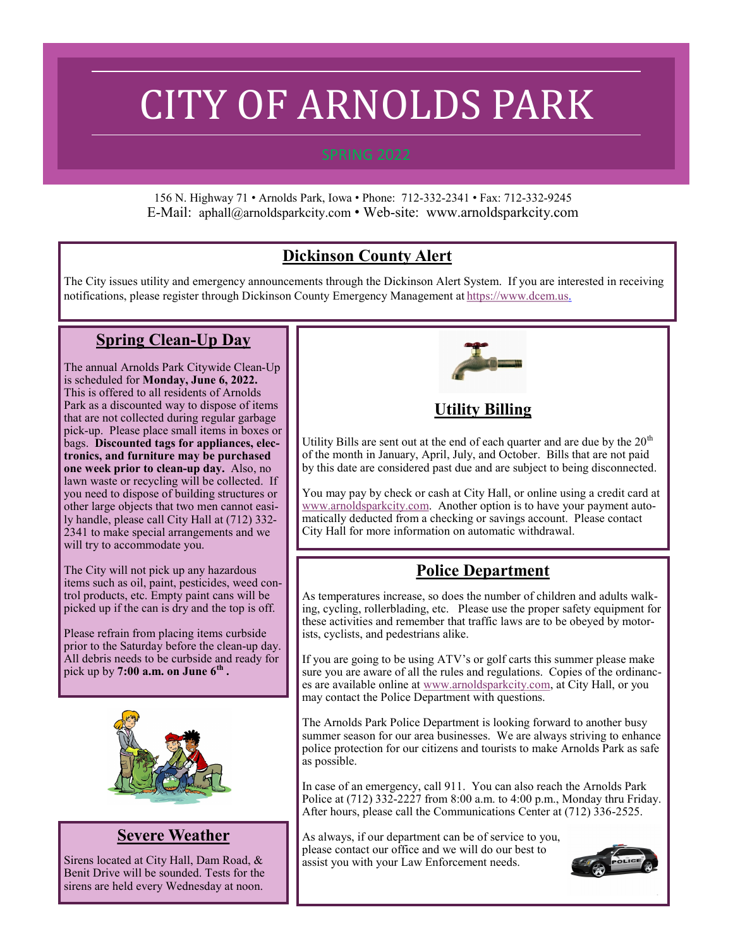# CITY OF ARNOLDS PARK

156 N. Highway 71 • Arnolds Park, Iowa • Phone: 712-332-2341 • Fax: 712-332-9245 E-Mail: aphall@arnoldsparkcity.com • Web-site: www.arnoldsparkcity.com

# **Dickinson County Alert**

The City issues utility and emergency announcements through the Dickinson Alert System. If you are interested in receiving notifications, please register through Dickinson County Emergency Management at [https://www.dcem.us.](https://www.dcem.us)

#### **Spring Clean-Up Day**

The annual Arnolds Park Citywide Clean-Up is scheduled for **Monday, June 6, 2022.**  This is offered to all residents of Arnolds Park as a discounted way to dispose of items that are not collected during regular garbage pick-up. Please place small items in boxes or bags. **Discounted tags for appliances, electronics, and furniture may be purchased one week prior to clean-up day.** Also, no lawn waste or recycling will be collected. If you need to dispose of building structures or other large objects that two men cannot easily handle, please call City Hall at (712) 332- 2341 to make special arrangements and we will try to accommodate you.

The City will not pick up any hazardous items such as oil, paint, pesticides, weed control products, etc. Empty paint cans will be picked up if the can is dry and the top is off.

Please refrain from placing items curbside prior to the Saturday before the clean-up day. All debris needs to be curbside and ready for pick up by **7:00 a.m. on June 6th .** 



#### **Severe Weather**

Sirens located at City Hall, Dam Road, & Benit Drive will be sounded. Tests for the sirens are held every Wednesday at noon.



#### **Utility Billing**

Utility Bills are sent out at the end of each quarter and are due by the  $20<sup>th</sup>$ of the month in January, April, July, and October. Bills that are not paid by this date are considered past due and are subject to being disconnected.

You may pay by check or cash at City Hall, or online using a credit card at [www.arnoldsparkcity.com.](http://www.arnoldsparkcity.com) Another option is to have your payment automatically deducted from a checking or savings account. Please contact City Hall for more information on automatic withdrawal.

# **Police Department**

As temperatures increase, so does the number of children and adults walking, cycling, rollerblading, etc. Please use the proper safety equipment for these activities and remember that traffic laws are to be obeyed by motorists, cyclists, and pedestrians alike.

If you are going to be using ATV's or golf carts this summer please make sure you are aware of all the rules and regulations. Copies of the ordinances are available online at [www.arnoldsparkcity.com,](http://www.arnoldsparkcity.com) at City Hall, or you may contact the Police Department with questions.

The Arnolds Park Police Department is looking forward to another busy summer season for our area businesses. We are always striving to enhance police protection for our citizens and tourists to make Arnolds Park as safe as possible.

In case of an emergency, call 911. You can also reach the Arnolds Park Police at (712) 332-2227 from 8:00 a.m. to 4:00 p.m., Monday thru Friday. After hours, please call the Communications Center at (712) 336-2525.

As always, if our department can be of service to you, please contact our office and we will do our best to assist you with your Law Enforcement needs.

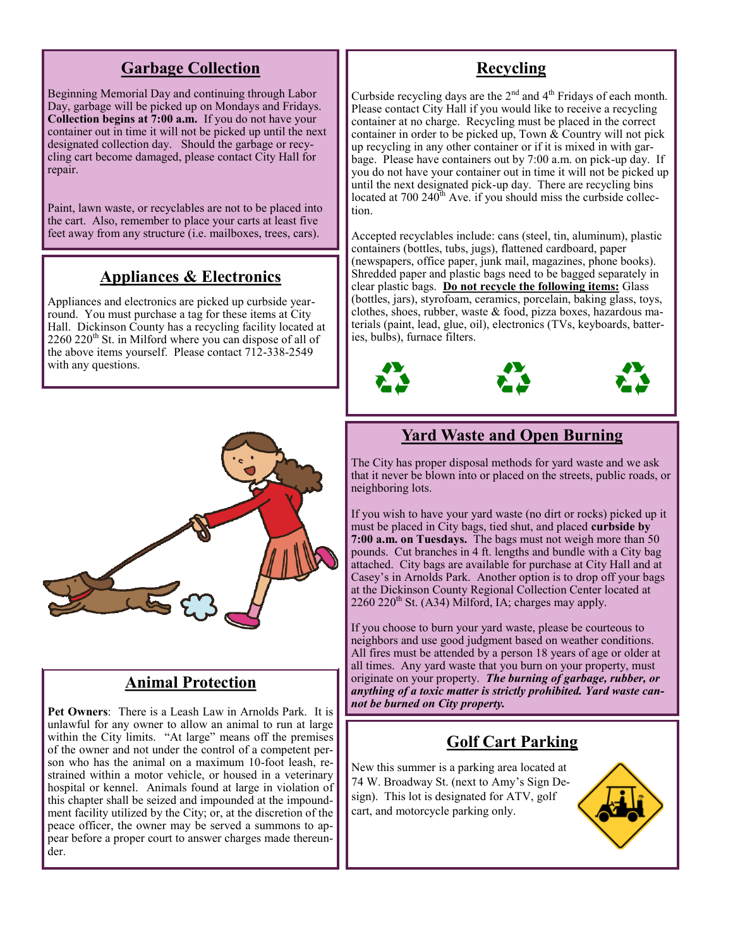#### **Garbage Collection**

Beginning Memorial Day and continuing through Labor Day, garbage will be picked up on Mondays and Fridays. **Collection begins at 7:00 a.m.** If you do not have your container out in time it will not be picked up until the next designated collection day. Should the garbage or recycling cart become damaged, please contact City Hall for repair.

Paint, lawn waste, or recyclables are not to be placed into the cart. Also, remember to place your carts at least five feet away from any structure (i.e. mailboxes, trees, cars).

## **Appliances & Electronics**

Appliances and electronics are picked up curbside yearround. You must purchase a tag for these items at City Hall. Dickinson County has a recycling facility located at  $2260 220$ <sup>th</sup> St. in Milford where you can dispose of all of the above items yourself. Please contact 712-338-2549 with any questions.



#### **Animal Protection**

**Pet Owners**: There is a Leash Law in Arnolds Park. It is unlawful for any owner to allow an animal to run at large within the City limits. "At large" means off the premises of the owner and not under the control of a competent person who has the animal on a maximum 10-foot leash, restrained within a motor vehicle, or housed in a veterinary hospital or kennel. Animals found at large in violation of this chapter shall be seized and impounded at the impoundment facility utilized by the City; or, at the discretion of the peace officer, the owner may be served a summons to appear before a proper court to answer charges made thereunder.

## **Recycling**

Curbside recycling days are the  $2<sup>nd</sup>$  and  $4<sup>th</sup>$  Fridays of each month. Please contact City Hall if you would like to receive a recycling container at no charge. Recycling must be placed in the correct container in order to be picked up, Town  $&$  Country will not pick up recycling in any other container or if it is mixed in with garbage. Please have containers out by 7:00 a.m. on pick-up day. If you do not have your container out in time it will not be picked up until the next designated pick-up day. There are recycling bins located at 700 240<sup>th</sup> Ave. if you should miss the curbside collection.

Accepted recyclables include: cans (steel, tin, aluminum), plastic containers (bottles, tubs, jugs), flattened cardboard, paper (newspapers, office paper, junk mail, magazines, phone books). Shredded paper and plastic bags need to be bagged separately in clear plastic bags. **Do not recycle the following items:** Glass (bottles, jars), styrofoam, ceramics, porcelain, baking glass, toys, clothes, shoes, rubber, waste & food, pizza boxes, hazardous materials (paint, lead, glue, oil), electronics (TVs, keyboards, batteries, bulbs), furnace filters.



#### **Yard Waste and Open Burning**

The City has proper disposal methods for yard waste and we ask that it never be blown into or placed on the streets, public roads, or neighboring lots.

If you wish to have your yard waste (no dirt or rocks) picked up it must be placed in City bags, tied shut, and placed **curbside by 7:00 a.m. on Tuesdays.** The bags must not weigh more than 50 pounds. Cut branches in 4 ft. lengths and bundle with a City bag attached. City bags are available for purchase at City Hall and at Casey's in Arnolds Park. Another option is to drop off your bags at the Dickinson County Regional Collection Center located at  $2260$   $220<sup>th</sup>$  St. (A34) Milford, IA; charges may apply.

If you choose to burn your yard waste, please be courteous to neighbors and use good judgment based on weather conditions. All fires must be attended by a person 18 years of age or older at all times. Any yard waste that you burn on your property, must originate on your property. *The burning of garbage, rubber, or anything of a toxic matter is strictly prohibited. Yard waste cannot be burned on City property.*

#### **Golf Cart Parking**

New this summer is a parking area located at 74 W. Broadway St. (next to Amy's Sign Design). This lot is designated for ATV, golf cart, and motorcycle parking only.